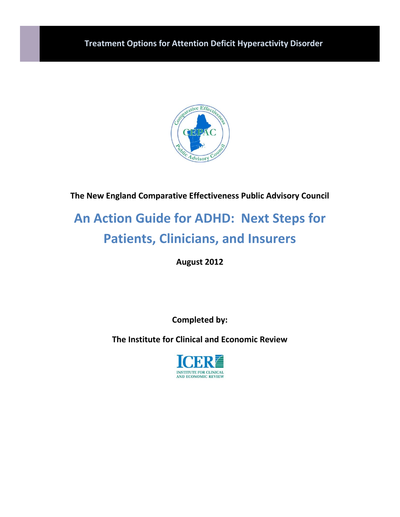

**The New England Comparative Effectiveness Public Advisory Council**

# **An Action Guide for ADHD: Next Steps for Patients, Clinicians, and Insurers**

**August 2012**

**Completed by:**

**The Institute for Clinical and Economic Review**

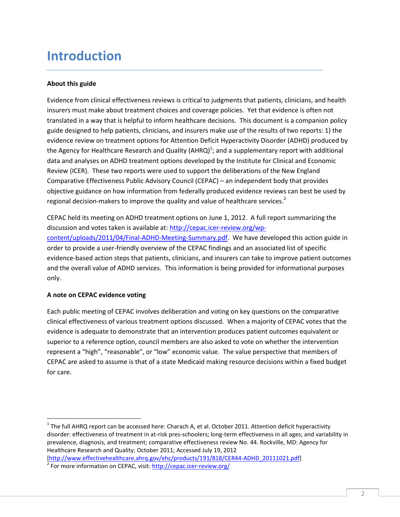### **Introduction**

#### **About this guide**

Evidence from clinical effectiveness reviews is critical to judgments that patients, clinicians, and health insurers must make about treatment choices and coverage policies. Yet that evidence is often not translated in a way that is helpful to inform healthcare decisions. This document is a companion policy guide designed to help patients, clinicians, and insurers make use of the results of two reports: 1) the evidence review on treatment options for Attention Deficit Hyperactivity Disorder (ADHD) produced by the Agency for Healthcare Research and Quality (AHRQ)<sup>1</sup>; and a supplementary report with additional data and analyses on ADHD treatment options developed by the Institute for Clinical and Economic Review (ICER). These two reports were used to support the deliberations of the New England Comparative Effectiveness Public Advisory Council (CEPAC) – an independent body that provides objective guidance on how information from federally produced evidence reviews can best be used by regional decision-makers to improve the quality and value of healthcare services.<sup>2</sup>

CEPAC held its meeting on ADHD treatment options on June 1, 2012. A full report summarizing the discussion and votes taken is available at[: http://cepac.icer-review.org/wp](http://cepac.icer-review.org/wp-content/uploads/2011/04/Final-ADHD-Meeting-Summary.pdf)[content/uploads/2011/04/Final-ADHD-Meeting-Summary.pdf.](http://cepac.icer-review.org/wp-content/uploads/2011/04/Final-ADHD-Meeting-Summary.pdf) We have developed this action guide in order to provide a user-friendly overview of the CEPAC findings and an associated list of specific evidence-based action steps that patients, clinicians, and insurers can take to improve patient outcomes and the overall value of ADHD services. This information is being provided for informational purposes only.

#### **A note on CEPAC evidence voting**

 $\overline{a}$ 

Each public meeting of CEPAC involves deliberation and voting on key questions on the comparative clinical effectiveness of various treatment options discussed. When a majority of CEPAC votes that the evidence is adequate to demonstrate that an intervention produces patient outcomes equivalent or superior to a reference option, council members are also asked to vote on whether the intervention represent a "high", "reasonable", or "low" economic value. The value perspective that members of CEPAC are asked to assume is that of a state Medicaid making resource decisions within a fixed budget for care.

 $^1$  The full AHRQ report can be accessed here: Charach A, et al. October 2011. Attention deficit hyperactivity disorder: effectiveness of treatment in at-risk pres-schoolers; long-term effectiveness in all ages; and variability in prevalence, diagnosis, and treatment; comparative effectiveness review No. 44. Rockville, MD: Agency for Healthcare Research and Quality; October 2011; Accessed July 19, 2012 [\[http://www.effectivehealthcare.ahrq.gov/ehc/products/191/818/CER44-ADHD\\_20111021.pdf\]](http://www.effectivehealthcare.ahrq.gov/ehc/products/191/818/CER44-ADHD_20111021.pdf)

<sup>&</sup>lt;sup>2</sup> For more information on CEPAC, visit:<http://cepac.icer-review.org/>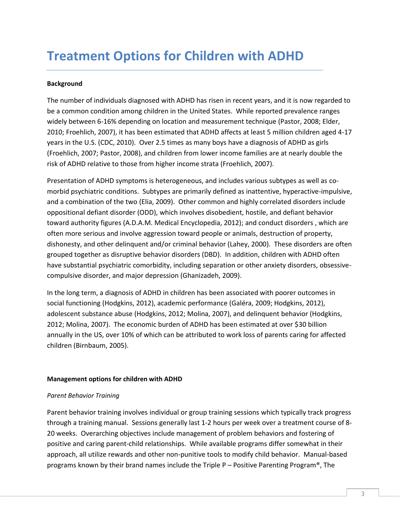## **Treatment Options for Children with ADHD**

#### **Background**

The number of individuals diagnosed with ADHD has risen in recent years, and it is now regarded to be a common condition among children in the United States. While reported prevalence ranges widely between 6-16% depending on location and measurement technique (Pastor, 2008; Elder, 2010; Froehlich, 2007), it has been estimated that ADHD affects at least 5 million children aged 4-17 years in the U.S. (CDC, 2010). Over 2.5 times as many boys have a diagnosis of ADHD as girls (Froehlich, 2007; Pastor, 2008), and children from lower income families are at nearly double the risk of ADHD relative to those from higher income strata (Froehlich, 2007).

Presentation of ADHD symptoms is heterogeneous, and includes various subtypes as well as comorbid psychiatric conditions. Subtypes are primarily defined as inattentive, hyperactive-impulsive, and a combination of the two (Elia, 2009). Other common and highly correlated disorders include oppositional defiant disorder (ODD), which involves disobedient, hostile, and defiant behavior toward authority figures (A.D.A.M. Medical Encyclopedia, 2012); and conduct disorders , which are often more serious and involve aggression toward people or animals, destruction of property, dishonesty, and other delinquent and/or criminal behavior (Lahey, 2000). These disorders are often grouped together as disruptive behavior disorders (DBD). In addition, children with ADHD often have substantial psychiatric comorbidity, including separation or other anxiety disorders, obsessivecompulsive disorder, and major depression (Ghanizadeh, 2009).

In the long term, a diagnosis of ADHD in children has been associated with poorer outcomes in social functioning (Hodgkins, 2012), academic performance (Galéra, 2009; Hodgkins, 2012), adolescent substance abuse (Hodgkins, 2012; Molina, 2007), and delinquent behavior (Hodgkins, 2012; Molina, 2007). The economic burden of ADHD has been estimated at over \$30 billion annually in the US, over 10% of which can be attributed to work loss of parents caring for affected children (Birnbaum, 2005).

#### **Management options for children with ADHD**

#### *Parent Behavior Training*

Parent behavior training involves individual or group training sessions which typically track progress through a training manual. Sessions generally last 1-2 hours per week over a treatment course of 8- 20 weeks. Overarching objectives include management of problem behaviors and fostering of positive and caring parent-child relationships. While available programs differ somewhat in their approach, all utilize rewards and other non-punitive tools to modify child behavior. Manual-based programs known by their brand names include the Triple P – Positive Parenting Program®, The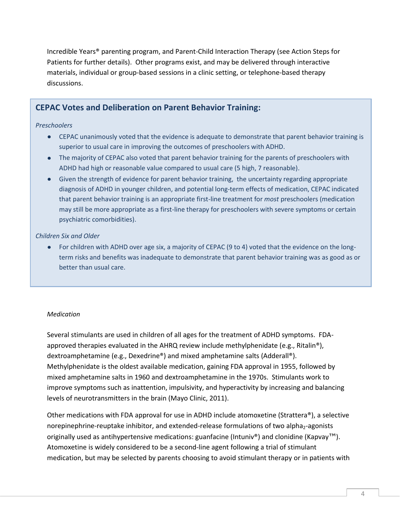Incredible Years® parenting program, and Parent-Child Interaction Therapy (see Action Steps for Patients for further details). Other programs exist, and may be delivered through interactive materials, individual or group-based sessions in a clinic setting, or telephone-based therapy discussions.

### **CEPAC Votes and Deliberation on Parent Behavior Training:**

#### *Preschoolers*

- CEPAC unanimously voted that the evidence is adequate to demonstrate that parent behavior training is superior to usual care in improving the outcomes of preschoolers with ADHD.
- The majority of CEPAC also voted that parent behavior training for the parents of preschoolers with ADHD had high or reasonable value compared to usual care (5 high, 7 reasonable).
- Given the strength of evidence for parent behavior training, the uncertainty regarding appropriate diagnosis of ADHD in younger children, and potential long-term effects of medication, CEPAC indicated that parent behavior training is an appropriate first-line treatment for *most* preschoolers (medication may still be more appropriate as a first-line therapy for preschoolers with severe symptoms or certain psychiatric comorbidities).

#### *Children Six and Older*

For children with ADHD over age six, a majority of CEPAC (9 to 4) voted that the evidence on the longterm risks and benefits was inadequate to demonstrate that parent behavior training was as good as or better than usual care.

#### *Medication*

Several stimulants are used in children of all ages for the treatment of ADHD symptoms. FDAapproved therapies evaluated in the AHRQ review include methylphenidate (e.g., Ritalin<sup>®</sup>), dextroamphetamine (e.g., Dexedrine®) and mixed amphetamine salts (Adderall®). Methylphenidate is the oldest available medication, gaining FDA approval in 1955, followed by mixed amphetamine salts in 1960 and dextroamphetamine in the 1970s. Stimulants work to improve symptoms such as inattention, impulsivity, and hyperactivity by increasing and balancing levels of neurotransmitters in the brain (Mayo Clinic, 2011).

Other medications with FDA approval for use in ADHD include atomoxetine (Strattera®), a selective norepinephrine-reuptake inhibitor, and extended-release formulations of two alpha<sub>2</sub>-agonists originally used as antihypertensive medications: guanfacine (Intuniv®) and clonidine (Kapvay™). Atomoxetine is widely considered to be a second-line agent following a trial of stimulant medication, but may be selected by parents choosing to avoid stimulant therapy or in patients with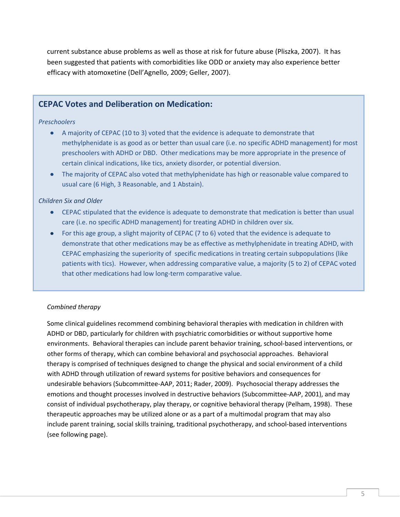current substance abuse problems as well as those at risk for future abuse (Pliszka, 2007). It has been suggested that patients with comorbidities like ODD or anxiety may also experience better efficacy with atomoxetine (Dell'Agnello, 2009; Geller, 2007).

### **CEPAC Votes and Deliberation on Medication:**

#### *Preschoolers*

- A majority of CEPAC (10 to 3) voted that the evidence is adequate to demonstrate that methylphenidate is as good as or better than usual care (i.e. no specific ADHD management) for most preschoolers with ADHD or DBD. Other medications may be more appropriate in the presence of certain clinical indications, like tics, anxiety disorder, or potential diversion.
- The majority of CEPAC also voted that methylphenidate has high or reasonable value compared to usual care (6 High, 3 Reasonable, and 1 Abstain).

#### *Children Six and Older*

- $\bullet$ CEPAC stipulated that the evidence is adequate to demonstrate that medication is better than usual care (i.e. no specific ADHD management) for treating ADHD in children over six.
- For this age group, a slight majority of CEPAC (7 to 6) voted that the evidence is adequate to demonstrate that other medications may be as effective as methylphenidate in treating ADHD, with CEPAC emphasizing the superiority of specific medications in treating certain subpopulations (like patients with tics). However, when addressing comparative value, a majority (5 to 2) of CEPAC voted that other medications had low long-term comparative value.

#### *Combined therapy*

Some clinical guidelines recommend combining behavioral therapies with medication in children with ADHD or DBD, particularly for children with psychiatric comorbidities or without supportive home environments. Behavioral therapies can include parent behavior training, school-based interventions, or other forms of therapy, which can combine behavioral and psychosocial approaches. Behavioral therapy is comprised of techniques designed to change the physical and social environment of a child with ADHD through utilization of reward systems for positive behaviors and consequences for undesirable behaviors (Subcommittee-AAP, 2011; Rader, 2009). Psychosocial therapy addresses the emotions and thought processes involved in destructive behaviors (Subcommittee-AAP, 2001), and may consist of individual psychotherapy, play therapy, or cognitive behavioral therapy (Pelham, 1998). These therapeutic approaches may be utilized alone or as a part of a multimodal program that may also include parent training, social skills training, traditional psychotherapy, and school-based interventions (see following page).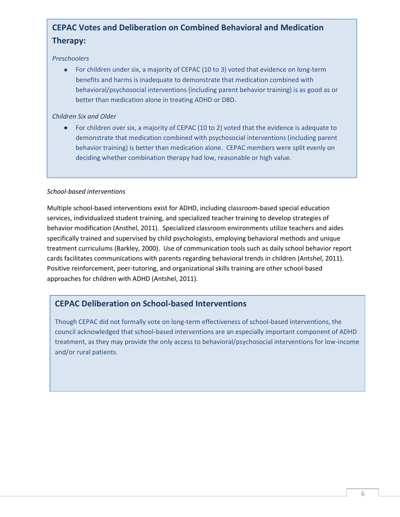### **CEPAC Votes and Deliberation on Combined Behavioral and Medication Therapy:**

#### *Preschoolers*

For children under six, a majority of CEPAC (10 to 3) voted that evidence on long-term benefits and harms is inadequate to demonstrate that medication combined with behavioral/psychosocial interventions (including parent behavior training) is as good as or better than medication alone in treating ADHD or DBD.

#### *Children Six and Older*

For children over six, a majority of CEPAC (10 to 2) voted that the evidence is adequate to demonstrate that medication combined with psychosocial interventions (including parent behavior training) is better than medication alone. CEPAC members were split evenly on deciding whether combination therapy had low, reasonable or high value.

#### *School-based interventions*

Multiple school-based interventions exist for ADHD, including classroom-based special education services, individualized student training, and specialized teacher training to develop strategies of behavior modification (Ansthel, 2011). Specialized classroom environments utilize teachers and aides specifically trained and supervised by child psychologists, employing behavioral methods and unique treatment curriculums (Barkley, 2000). Use of communication tools such as daily school behavior report cards facilitates communications with parents regarding behavioral trends in children (Antshel, 2011). Positive reinforcement, peer-tutoring, and organizational skills training are other school-based approaches for children with ADHD (Antshel, 2011).

### **CEPAC Deliberation on School-based Interventions**

Though CEPAC did not formally vote on long-term effectiveness of school-based interventions, the council acknowledged that school-based interventions are an especially important component of ADHD treatment, as they may provide the only access to behavioral/psychosocial interventions for low-income and/or rural patients.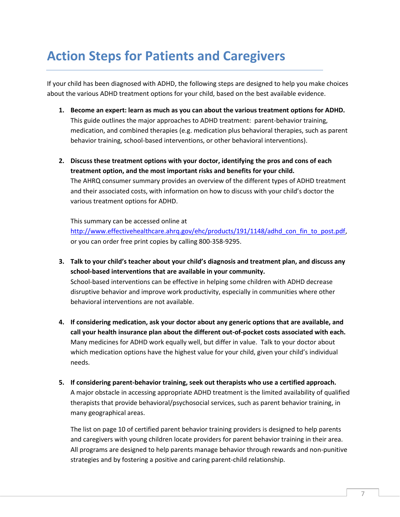## **Action Steps for Patients and Caregivers**

If your child has been diagnosed with ADHD, the following steps are designed to help you make choices about the various ADHD treatment options for your child, based on the best available evidence.

- **1. Become an expert: learn as much as you can about the various treatment options for ADHD.** This guide outlines the major approaches to ADHD treatment: parent-behavior training, medication, and combined therapies (e.g. medication plus behavioral therapies, such as parent behavior training, school-based interventions, or other behavioral interventions).
- **2. Discuss these treatment options with your doctor, identifying the pros and cons of each treatment option, and the most important risks and benefits for your child.**  The AHRQ consumer summary provides an overview of the different types of ADHD treatment and their associated costs, with information on how to discuss with your child's doctor the various treatment options for ADHD.

This summary can be accessed online at

[http://www.effectivehealthcare.ahrq.gov/ehc/products/191/1148/adhd\\_con\\_fin\\_to\\_post.pdf,](http://www.effectivehealthcare.ahrq.gov/ehc/products/191/1148/adhd_con_fin_to_post.pdf) or you can order free print copies by calling 800-358-9295.

- **3. Talk to your child's teacher about your child's diagnosis and treatment plan, and discuss any school-based interventions that are available in your community.**  School-based interventions can be effective in helping some children with ADHD decrease disruptive behavior and improve work productivity, especially in communities where other behavioral interventions are not available.
- **4. If considering medication, ask your doctor about any generic options that are available, and call your health insurance plan about the different out-of-pocket costs associated with each.**  Many medicines for ADHD work equally well, but differ in value. Talk to your doctor about which medication options have the highest value for your child, given your child's individual needs.
- **5. If considering parent-behavior training, seek out therapists who use a certified approach.**  A major obstacle in accessing appropriate ADHD treatment is the limited availability of qualified therapists that provide behavioral/psychosocial services, such as parent behavior training, in many geographical areas.

The list on page 10 of certified parent behavior training providers is designed to help parents and caregivers with young children locate providers for parent behavior training in their area. All programs are designed to help parents manage behavior through rewards and non-punitive strategies and by fostering a positive and caring parent-child relationship.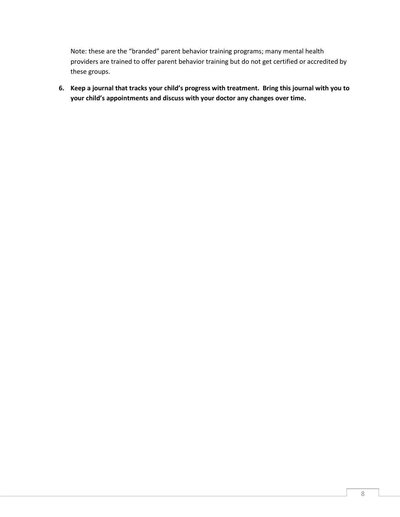Note: these are the "branded" parent behavior training programs; many mental health providers are trained to offer parent behavior training but do not get certified or accredited by these groups.

**6. Keep a journal that tracks your child's progress with treatment. Bring this journal with you to your child's appointments and discuss with your doctor any changes over time.**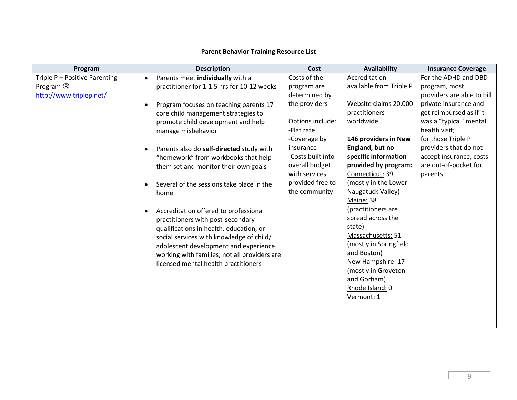#### **Parent Behavior Training Resource List**

| Program                       | <b>Description</b>                                     | Cost              | Availability            | <b>Insurance Coverage</b>  |
|-------------------------------|--------------------------------------------------------|-------------------|-------------------------|----------------------------|
| Triple P - Positive Parenting | Parents meet individually with a<br>$\bullet$          | Costs of the      | Accreditation           | For the ADHD and DBD       |
| Program ®                     | practitioner for 1-1.5 hrs for 10-12 weeks             | program are       | available from Triple P | program, most              |
| http://www.triplep.net/       |                                                        | determined by     |                         | providers are able to bill |
|                               | Program focuses on teaching parents 17<br>$\bullet$    | the providers     | Website claims 20,000   | private insurance and      |
|                               | core child management strategies to                    |                   | practitioners           | get reimbursed as if it    |
|                               | promote child development and help                     | Options include:  | worldwide               | was a "typical" mental     |
|                               | manage misbehavior                                     | -Flat rate        |                         | health visit;              |
|                               |                                                        | -Coverage by      | 146 providers in New    | for those Triple P         |
|                               | Parents also do self-directed study with<br>$\bullet$  | insurance         | England, but no         | providers that do not      |
|                               | "homework" from workbooks that help                    | -Costs built into | specific information    | accept insurance, costs    |
|                               | them set and monitor their own goals                   | overall budget    | provided by program:    | are out-of-pocket for      |
|                               |                                                        | with services     | Connecticut: 39         | parents.                   |
|                               | Several of the sessions take place in the<br>$\bullet$ | provided free to  | (mostly in the Lower    |                            |
|                               | home                                                   | the community     | Naugatuck Valley)       |                            |
|                               |                                                        |                   | Maine: 38               |                            |
|                               | Accreditation offered to professional<br>$\bullet$     |                   | (practitioners are      |                            |
|                               | practitioners with post-secondary                      |                   | spread across the       |                            |
|                               | qualifications in health, education, or                |                   | state)                  |                            |
|                               | social services with knowledge of child/               |                   | Massachusetts: 51       |                            |
|                               | adolescent development and experience                  |                   | (mostly in Springfield  |                            |
|                               | working with families; not all providers are           |                   | and Boston)             |                            |
|                               | licensed mental health practitioners                   |                   | New Hampshire: 17       |                            |
|                               |                                                        |                   | (mostly in Groveton     |                            |
|                               |                                                        |                   | and Gorham)             |                            |
|                               |                                                        |                   | Rhode Island: 0         |                            |
|                               |                                                        |                   | Vermont: 1              |                            |
|                               |                                                        |                   |                         |                            |
|                               |                                                        |                   |                         |                            |
|                               |                                                        |                   |                         |                            |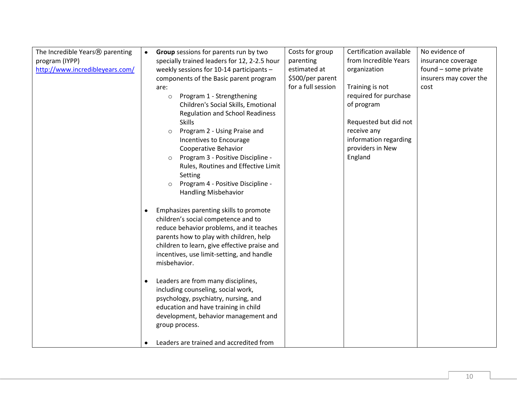| The Incredible Years <sup>®</sup> parenting | $\bullet$ | Group sessions for parents run by two        | Costs for group    | Certification available | No evidence of         |
|---------------------------------------------|-----------|----------------------------------------------|--------------------|-------------------------|------------------------|
| program (IYPP)                              |           | specially trained leaders for 12, 2-2.5 hour | parenting          | from Incredible Years   | insurance coverage     |
| http://www.incredibleyears.com/             |           | weekly sessions for 10-14 participants -     | estimated at       | organization            | found - some private   |
|                                             |           | components of the Basic parent program       | \$500/per parent   |                         | insurers may cover the |
|                                             |           | are:                                         | for a full session | Training is not         | cost                   |
|                                             |           | Program 1 - Strengthening<br>$\circ$         |                    | required for purchase   |                        |
|                                             |           | Children's Social Skills, Emotional          |                    | of program              |                        |
|                                             |           | <b>Regulation and School Readiness</b>       |                    |                         |                        |
|                                             |           | <b>Skills</b>                                |                    | Requested but did not   |                        |
|                                             |           | Program 2 - Using Praise and<br>$\circ$      |                    | receive any             |                        |
|                                             |           | Incentives to Encourage                      |                    | information regarding   |                        |
|                                             |           | Cooperative Behavior                         |                    | providers in New        |                        |
|                                             |           | Program 3 - Positive Discipline -<br>$\circ$ |                    | England                 |                        |
|                                             |           | Rules, Routines and Effective Limit          |                    |                         |                        |
|                                             |           | Setting                                      |                    |                         |                        |
|                                             |           | Program 4 - Positive Discipline -<br>$\circ$ |                    |                         |                        |
|                                             |           | <b>Handling Misbehavior</b>                  |                    |                         |                        |
|                                             |           |                                              |                    |                         |                        |
|                                             |           | Emphasizes parenting skills to promote       |                    |                         |                        |
|                                             |           | children's social competence and to          |                    |                         |                        |
|                                             |           | reduce behavior problems, and it teaches     |                    |                         |                        |
|                                             |           | parents how to play with children, help      |                    |                         |                        |
|                                             |           | children to learn, give effective praise and |                    |                         |                        |
|                                             |           | incentives, use limit-setting, and handle    |                    |                         |                        |
|                                             |           | misbehavior.                                 |                    |                         |                        |
|                                             |           |                                              |                    |                         |                        |
|                                             |           | Leaders are from many disciplines,           |                    |                         |                        |
|                                             |           | including counseling, social work,           |                    |                         |                        |
|                                             |           | psychology, psychiatry, nursing, and         |                    |                         |                        |
|                                             |           | education and have training in child         |                    |                         |                        |
|                                             |           | development, behavior management and         |                    |                         |                        |
|                                             |           | group process.                               |                    |                         |                        |
|                                             |           |                                              |                    |                         |                        |
|                                             |           | Leaders are trained and accredited from      |                    |                         |                        |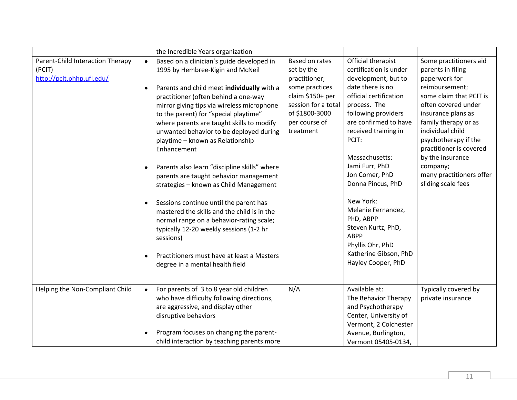|                                                                         | the Incredible Years organization                                                                                                                                                                                                                                                                                                                                                                                                                                                                                                                                                                                                                                                                                                                                                                                                                   |                                                                                                                                                                                                                                                                                                                                                                                                                                                                                                                                                                                                                     |                                                                                                                                                                                                                                                                                                                                         |
|-------------------------------------------------------------------------|-----------------------------------------------------------------------------------------------------------------------------------------------------------------------------------------------------------------------------------------------------------------------------------------------------------------------------------------------------------------------------------------------------------------------------------------------------------------------------------------------------------------------------------------------------------------------------------------------------------------------------------------------------------------------------------------------------------------------------------------------------------------------------------------------------------------------------------------------------|---------------------------------------------------------------------------------------------------------------------------------------------------------------------------------------------------------------------------------------------------------------------------------------------------------------------------------------------------------------------------------------------------------------------------------------------------------------------------------------------------------------------------------------------------------------------------------------------------------------------|-----------------------------------------------------------------------------------------------------------------------------------------------------------------------------------------------------------------------------------------------------------------------------------------------------------------------------------------|
| Parent-Child Interaction Therapy<br>(PCIT)<br>http://pcit.phhp.ufl.edu/ | Based on a clinician's guide developed in<br>$\bullet$<br>1995 by Hembree-Kigin and McNeil<br>Parents and child meet individually with a<br>٠<br>practitioner (often behind a one-way<br>mirror giving tips via wireless microphone<br>to the parent) for "special playtime"<br>where parents are taught skills to modify<br>unwanted behavior to be deployed during<br>playtime - known as Relationship<br>Enhancement<br>Parents also learn "discipline skills" where<br>٠<br>parents are taught behavior management<br>strategies - known as Child Management<br>Sessions continue until the parent has<br>mastered the skills and the child is in the<br>normal range on a behavior-rating scale;<br>typically 12-20 weekly sessions (1-2 hr<br>sessions)<br>Practitioners must have at least a Masters<br>٠<br>degree in a mental health field | Official therapist<br>Based on rates<br>certification is under<br>set by the<br>development, but to<br>practitioner;<br>some practices<br>date there is no<br>claim \$150+ per<br>official certification<br>session for a total<br>process. The<br>of \$1800-3000<br>following providers<br>per course of<br>are confirmed to have<br>treatment<br>received training in<br>PCIT:<br>Massachusetts:<br>Jami Furr, PhD<br>Jon Comer, PhD<br>Donna Pincus, PhD<br>New York:<br>Melanie Fernandez,<br>PhD, ABPP<br>Steven Kurtz, PhD,<br><b>ABPP</b><br>Phyllis Ohr, PhD<br>Katherine Gibson, PhD<br>Hayley Cooper, PhD | Some practitioners aid<br>parents in filing<br>paperwork for<br>reimbursement;<br>some claim that PCIT is<br>often covered under<br>insurance plans as<br>family therapy or as<br>individual child<br>psychotherapy if the<br>practitioner is covered<br>by the insurance<br>company;<br>many practitioners offer<br>sliding scale fees |
| Helping the Non-Compliant Child                                         | For parents of 3 to 8 year old children<br>$\bullet$<br>who have difficulty following directions,<br>are aggressive, and display other<br>disruptive behaviors<br>Program focuses on changing the parent-<br>child interaction by teaching parents more                                                                                                                                                                                                                                                                                                                                                                                                                                                                                                                                                                                             | Available at:<br>N/A<br>The Behavior Therapy<br>and Psychotherapy<br>Center, University of<br>Vermont, 2 Colchester<br>Avenue, Burlington,<br>Vermont 05405-0134,                                                                                                                                                                                                                                                                                                                                                                                                                                                   | Typically covered by<br>private insurance                                                                                                                                                                                                                                                                                               |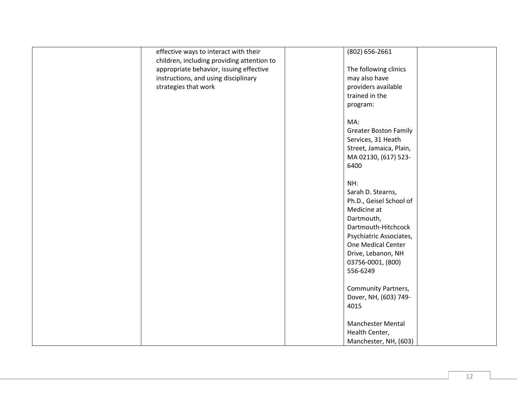| effective ways to interact with their                                                 | (802) 656-2661                |
|---------------------------------------------------------------------------------------|-------------------------------|
| children, including providing attention to<br>appropriate behavior, issuing effective | The following clinics         |
| instructions, and using disciplinary                                                  | may also have                 |
| strategies that work                                                                  | providers available           |
|                                                                                       | trained in the                |
|                                                                                       | program:                      |
|                                                                                       |                               |
|                                                                                       | MA:                           |
|                                                                                       | <b>Greater Boston Family</b>  |
|                                                                                       | Services, 31 Heath            |
|                                                                                       | Street, Jamaica, Plain,       |
|                                                                                       | MA 02130, (617) 523-          |
|                                                                                       | 6400                          |
|                                                                                       | NH:                           |
|                                                                                       | Sarah D. Stearns,             |
|                                                                                       | Ph.D., Geisel School of       |
|                                                                                       | Medicine at                   |
|                                                                                       | Dartmouth,                    |
|                                                                                       | Dartmouth-Hitchcock           |
|                                                                                       | Psychiatric Associates,       |
|                                                                                       | One Medical Center            |
|                                                                                       | Drive, Lebanon, NH            |
|                                                                                       | 03756-0001, (800)             |
|                                                                                       | 556-6249                      |
|                                                                                       |                               |
|                                                                                       | <b>Community Partners,</b>    |
|                                                                                       | Dover, NH, (603) 749-<br>4015 |
|                                                                                       |                               |
|                                                                                       | Manchester Mental             |
|                                                                                       | Health Center,                |
|                                                                                       | Manchester, NH, (603)         |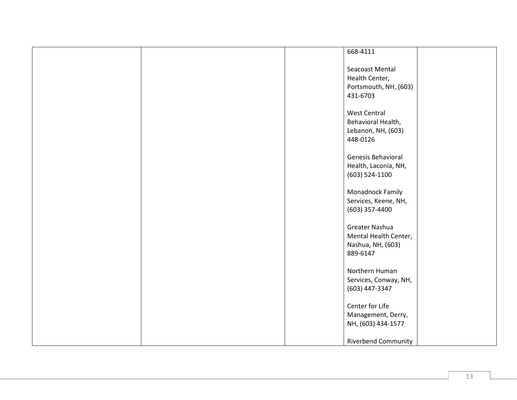| 668-4111                                                                    |
|-----------------------------------------------------------------------------|
| Seacoast Mental<br>Health Center,<br>Portsmouth, NH, (603)<br>431-6703      |
| <b>West Central</b><br>Behavioral Health,<br>Lebanon, NH, (603)<br>448-0126 |
| Genesis Behavioral<br>Health, Laconia, NH,<br>$(603) 524 - 1100$            |
| Monadnock Family<br>Services, Keene, NH,<br>$(603)$ 357-4400                |
| Greater Nashua<br>Mental Health Center,<br>Nashua, NH, (603)<br>889-6147    |
| Northern Human<br>Services, Conway, NH,<br>(603) 447-3347                   |
| Center for Life<br>Management, Derry,<br>NH, (603) 434-1577                 |
| <b>Riverbend Community</b>                                                  |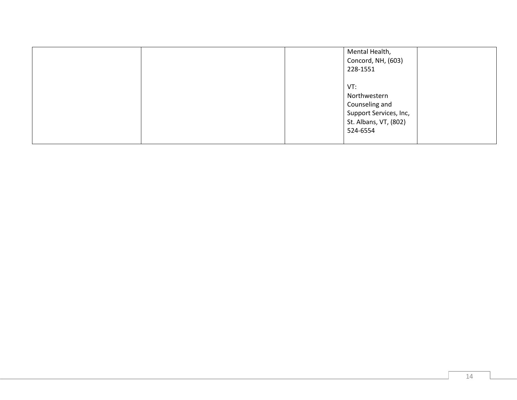|  | Mental Health,<br>Concord, NH, (603)<br>228-1551                                                     |  |
|--|------------------------------------------------------------------------------------------------------|--|
|  | VT:<br>Northwestern<br>Counseling and<br>Support Services, Inc,<br>St. Albans, VT, (802)<br>524-6554 |  |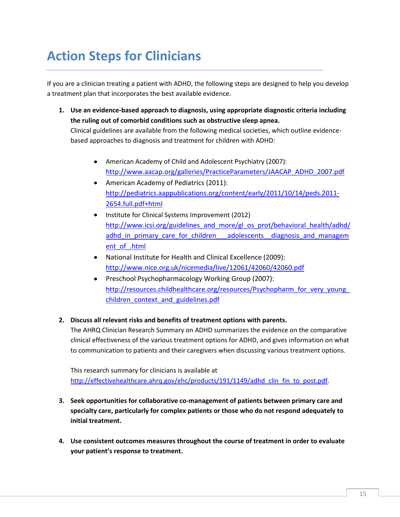## **Action Steps for Clinicians**

If you are a clinician treating a patient with ADHD, the following steps are designed to help you develop a treatment plan that incorporates the best available evidence.

**1. Use an evidence-based approach to diagnosis, using appropriate diagnostic criteria including the ruling out of comorbid conditions such as obstructive sleep apnea.** 

Clinical guidelines are available from the following medical societies, which outline evidencebased approaches to diagnosis and treatment for children with ADHD:

- American Academy of Child and Adolescent Psychiatry (2007): [http://www.aacap.org/galleries/PracticeParameters/JAACAP\\_ADHD\\_2007.pdf](http://www.aacap.org/galleries/PracticeParameters/JAACAP_ADHD_2007.pdf)
- American Academy of Pediatrics (2011): [http://pediatrics.aappublications.org/content/early/2011/10/14/peds.2011-](http://pediatrics.aappublications.org/content/early/2011/10/14/peds.2011-2654.full.pdf+html) [2654.full.pdf+html](http://pediatrics.aappublications.org/content/early/2011/10/14/peds.2011-2654.full.pdf+html)
- Institute for Clinical Systems Improvement (2012) [http://www.icsi.org/guidelines\\_and\\_more/gl\\_os\\_prot/behavioral\\_health/adhd/](http://www.icsi.org/guidelines_and_more/gl_os_prot/behavioral_health/adhd/adhd_in_primary_care_for_children___adolescents__diagnosis_and_management_of_.html) adhd in primary care for children adolescents diagnosis and managem [ent\\_of\\_.html](http://www.icsi.org/guidelines_and_more/gl_os_prot/behavioral_health/adhd/adhd_in_primary_care_for_children___adolescents__diagnosis_and_management_of_.html)
- National Institute for Health and Clinical Excellence (2009): <http://www.nice.org.uk/nicemedia/live/12061/42060/42060.pdf>
- Preschool Psychopharmacology Working Group (2007):  $\bullet$ [http://resources.childhealthcare.org/resources/Psychopharm\\_for\\_very\\_young\\_](http://resources.childhealthcare.org/resources/Psychopharm_for_very_young_children_context_and_guidelines.pdf) [children\\_context\\_and\\_guidelines.pdf](http://resources.childhealthcare.org/resources/Psychopharm_for_very_young_children_context_and_guidelines.pdf)

#### **2. Discuss all relevant risks and benefits of treatment options with parents.**

The AHRQ Clinician Research Summary on ADHD summarizes the evidence on the comparative clinical effectiveness of the various treatment options for ADHD, and gives information on what to communication to patients and their caregivers when discussing various treatment options.

This research summary for clinicians is available at [http://effectivehealthcare.ahrq.gov/ehc/products/191/1149/adhd\\_clin\\_fin\\_to\\_post.pdf.](http://effectivehealthcare.ahrq.gov/ehc/products/191/1149/adhd_clin_fin_to_post.pdf)

- **3. Seek opportunities for collaborative co-management of patients between primary care and specialty care, particularly for complex patients or those who do not respond adequately to initial treatment.**
- **4. Use consistent outcomes measures throughout the course of treatment in order to evaluate your patient's response to treatment.**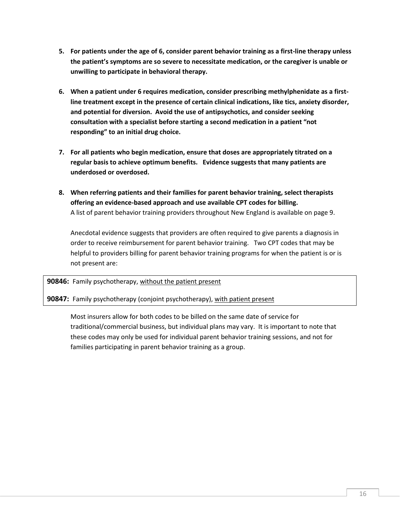- **5. For patients under the age of 6, consider parent behavior training as a first-line therapy unless the patient's symptoms are so severe to necessitate medication, or the caregiver is unable or unwilling to participate in behavioral therapy.**
- **6. When a patient under 6 requires medication, consider prescribing methylphenidate as a firstline treatment except in the presence of certain clinical indications, like tics, anxiety disorder, and potential for diversion. Avoid the use of antipsychotics, and consider seeking consultation with a specialist before starting a second medication in a patient "not responding" to an initial drug choice.**
- **7. For all patients who begin medication, ensure that doses are appropriately titrated on a regular basis to achieve optimum benefits. Evidence suggests that many patients are underdosed or overdosed.**
- **8. When referring patients and their families for parent behavior training, select therapists offering an evidence-based approach and use available CPT codes for billing.** A list of parent behavior training providers throughout New England is available on page 9.

Anecdotal evidence suggests that providers are often required to give parents a diagnosis in order to receive reimbursement for parent behavior training. Two CPT codes that may be helpful to providers billing for parent behavior training programs for when the patient is or is not present are:

**90846:** Family psychotherapy, without the patient present

#### **90847:** Family psychotherapy (conjoint psychotherapy), with patient present

Most insurers allow for both codes to be billed on the same date of service for traditional/commercial business, but individual plans may vary. It is important to note that these codes may only be used for individual parent behavior training sessions, and not for families participating in parent behavior training as a group.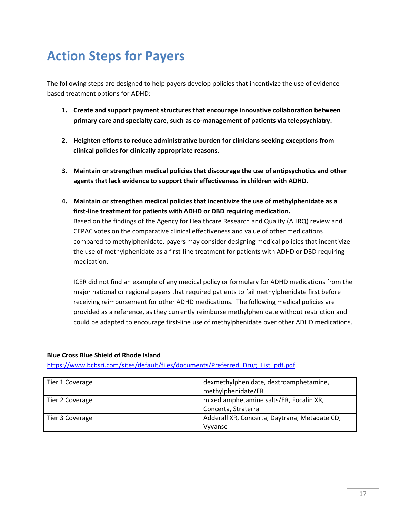## **Action Steps for Payers**

The following steps are designed to help payers develop policies that incentivize the use of evidencebased treatment options for ADHD:

- **1. Create and support payment structures that encourage innovative collaboration between primary care and specialty care, such as co-management of patients via telepsychiatry.**
- **2. Heighten efforts to reduce administrative burden for clinicians seeking exceptions from clinical policies for clinically appropriate reasons.**
- **3. Maintain or strengthen medical policies that discourage the use of antipsychotics and other agents that lack evidence to support their effectiveness in children with ADHD.**
- **4. Maintain or strengthen medical policies that incentivize the use of methylphenidate as a first-line treatment for patients with ADHD or DBD requiring medication.**  Based on the findings of the Agency for Healthcare Research and Quality (AHRQ) review and CEPAC votes on the comparative clinical effectiveness and value of other medications compared to methylphenidate, payers may consider designing medical policies that incentivize the use of methylphenidate as a first-line treatment for patients with ADHD or DBD requiring medication.

ICER did not find an example of any medical policy or formulary for ADHD medications from the major national or regional payers that required patients to fail methylphenidate first before receiving reimbursement for other ADHD medications. The following medical policies are provided as a reference, as they currently reimburse methylphenidate without restriction and could be adapted to encourage first-line use of methylphenidate over other ADHD medications.

#### **Blue Cross Blue Shield of Rhode Island**

[https://www.bcbsri.com/sites/default/files/documents/Preferred\\_Drug\\_List\\_pdf.pdf](https://www.bcbsri.com/sites/default/files/documents/Preferred_Drug_List_pdf.pdf)

| Tier 1 Coverage | dexmethylphenidate, dextroamphetamine,        |
|-----------------|-----------------------------------------------|
|                 | methylphenidate/ER                            |
| Tier 2 Coverage | mixed amphetamine salts/ER, Focalin XR,       |
|                 | Concerta, Straterra                           |
| Tier 3 Coverage | Adderall XR, Concerta, Daytrana, Metadate CD, |
|                 | Vyvanse                                       |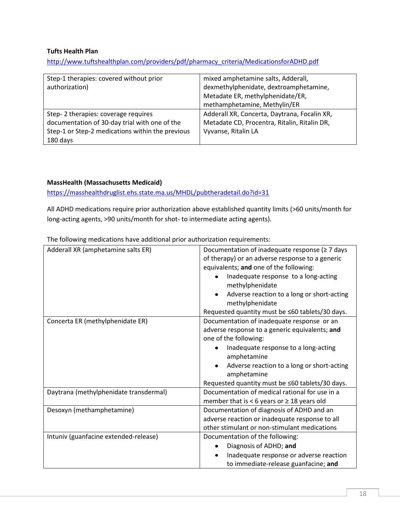#### **Tufts Health Plan**

[http://www.tuftshealthplan.com/providers/pdf/pharmacy\\_criteria/MedicationsforADHD.pdf](http://www.tuftshealthplan.com/providers/pdf/pharmacy_criteria/MedicationsforADHD.pdf)

| Step-1 therapies: covered without prior<br>authorization)                                                                                            | mixed amphetamine salts, Adderall,<br>dexmethylphenidate, dextroamphetamine,<br>Metadate ER, methylphenidate/ER,<br>methamphetamine, Methylin/ER |
|------------------------------------------------------------------------------------------------------------------------------------------------------|--------------------------------------------------------------------------------------------------------------------------------------------------|
| Step-2 therapies: coverage requires<br>documentation of 30-day trial with one of the<br>Step-1 or Step-2 medications within the previous<br>180 days | Adderall XR, Concerta, Daytrana, Focalin XR,<br>Metadate CD, Procentra, Ritalin, Ritalin DR,<br>Vyvanse, Ritalin LA                              |

#### **MassHealth (Massachusetts Medicaid)**

<https://masshealthdruglist.ehs.state.ma.us/MHDL/pubtheradetail.do?id=31>

All ADHD medications require prior authorization above established quantity limits (>60 units/month for long-acting agents, >90 units/month for shot- to intermediate acting agents).

The following medications have additional prior authorization requirements:

| Adderall XR (amphetamine salts ER)     | Documentation of inadequate response ( $\geq$ 7 days<br>of therapy) or an adverse response to a generic<br>equivalents; and one of the following:<br>Inadequate response to a long-acting<br>methylphenidate<br>Adverse reaction to a long or short-acting<br>$\bullet$<br>methylphenidate<br>Requested quantity must be ≤60 tablets/30 days. |
|----------------------------------------|-----------------------------------------------------------------------------------------------------------------------------------------------------------------------------------------------------------------------------------------------------------------------------------------------------------------------------------------------|
| Concerta ER (methylphenidate ER)       | Documentation of inadequate response or an<br>adverse response to a generic equivalents; and                                                                                                                                                                                                                                                  |
|                                        | one of the following:                                                                                                                                                                                                                                                                                                                         |
|                                        | Inadequate response to a long-acting<br>amphetamine                                                                                                                                                                                                                                                                                           |
|                                        | Adverse reaction to a long or short-acting<br>amphetamine                                                                                                                                                                                                                                                                                     |
|                                        | Requested quantity must be ≤60 tablets/30 days.                                                                                                                                                                                                                                                                                               |
| Daytrana (methylphenidate transdermal) | Documentation of medical rational for use in a                                                                                                                                                                                                                                                                                                |
|                                        | member that is < 6 years or $\geq$ 18 years old                                                                                                                                                                                                                                                                                               |
| Desoxyn (methamphetamine)              | Documentation of diagnosis of ADHD and an                                                                                                                                                                                                                                                                                                     |
|                                        | adverse reaction or inadequate response to all                                                                                                                                                                                                                                                                                                |
|                                        | other stimulant or non-stimulant medications                                                                                                                                                                                                                                                                                                  |
| Intuniv (guanfacine extended-release)  | Documentation of the following:                                                                                                                                                                                                                                                                                                               |
|                                        | Diagnosis of ADHD; and                                                                                                                                                                                                                                                                                                                        |
|                                        | Inadequate response or adverse reaction<br>$\bullet$                                                                                                                                                                                                                                                                                          |
|                                        | to immediate-release guanfacine; and                                                                                                                                                                                                                                                                                                          |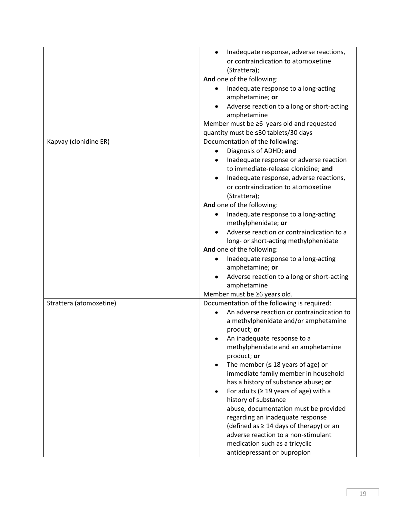|                         | Inadequate response, adverse reactions,<br>$\bullet$ |
|-------------------------|------------------------------------------------------|
|                         | or contraindication to atomoxetine                   |
|                         | (Strattera);                                         |
|                         | And one of the following:                            |
|                         |                                                      |
|                         | Inadequate response to a long-acting                 |
|                         | amphetamine; or                                      |
|                         | Adverse reaction to a long or short-acting           |
|                         | amphetamine                                          |
|                         | Member must be ≥6 years old and requested            |
|                         | quantity must be ≤30 tablets/30 days                 |
| Kapvay (clonidine ER)   | Documentation of the following:                      |
|                         | Diagnosis of ADHD; and                               |
|                         | Inadequate response or adverse reaction              |
|                         | to immediate-release clonidine; and                  |
|                         | Inadequate response, adverse reactions,              |
|                         | or contraindication to atomoxetine                   |
|                         | (Strattera);                                         |
|                         | And one of the following:                            |
|                         | Inadequate response to a long-acting                 |
|                         | methylphenidate; or                                  |
|                         | Adverse reaction or contraindication to a            |
|                         | long- or short-acting methylphenidate                |
|                         | And one of the following:                            |
|                         | Inadequate response to a long-acting                 |
|                         | amphetamine; or                                      |
|                         | Adverse reaction to a long or short-acting           |
|                         | amphetamine                                          |
|                         | Member must be ≥6 years old.                         |
| Strattera (atomoxetine) | Documentation of the following is required:          |
|                         | An adverse reaction or contraindication to           |
|                         | a methylphenidate and/or amphetamine                 |
|                         | product; or                                          |
|                         | An inadequate response to a                          |
|                         | methylphenidate and an amphetamine                   |
|                         | product; or                                          |
|                         | The member ( $\leq$ 18 years of age) or              |
|                         | immediate family member in household                 |
|                         | has a history of substance abuse; or                 |
|                         | For adults ( $\geq$ 19 years of age) with a          |
|                         | history of substance                                 |
|                         | abuse, documentation must be provided                |
|                         | regarding an inadequate response                     |
|                         | (defined as $\geq$ 14 days of therapy) or an         |
|                         | adverse reaction to a non-stimulant                  |
|                         | medication such as a tricyclic                       |
|                         |                                                      |
|                         | antidepressant or bupropion                          |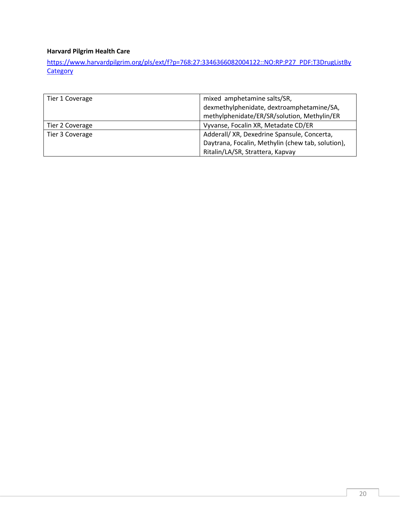### **Harvard Pilgrim Health Care**

[https://www.harvardpilgrim.org/pls/ext/f?p=768:27:3346366082004122::NO:RP:P27\\_PDF:T3DrugListBy](https://www.harvardpilgrim.org/pls/ext/f?p=768:27:3346366082004122::NO:RP:P27_PDF:T3DrugListByCategory) **[Category](https://www.harvardpilgrim.org/pls/ext/f?p=768:27:3346366082004122::NO:RP:P27_PDF:T3DrugListByCategory)** 

| Tier 1 Coverage | mixed amphetamine salts/SR,                       |
|-----------------|---------------------------------------------------|
|                 | dexmethylphenidate, dextroamphetamine/SA,         |
|                 | methylphenidate/ER/SR/solution, Methylin/ER       |
| Tier 2 Coverage | Vyvanse, Focalin XR, Metadate CD/ER               |
| Tier 3 Coverage | Adderall/ XR, Dexedrine Spansule, Concerta,       |
|                 | Daytrana, Focalin, Methylin (chew tab, solution), |
|                 | Ritalin/LA/SR, Strattera, Kapvay                  |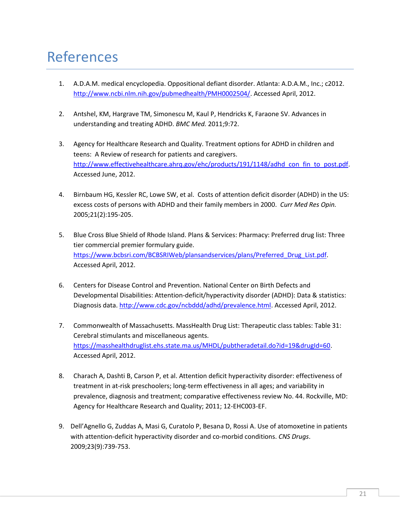## References

- 1. A.D.A.M. medical encyclopedia. Oppositional defiant disorder. Atlanta: A.D.A.M., Inc.; c2012. [http://www.ncbi.nlm.nih.gov/pubmedhealth/PMH0002504/.](http://www.ncbi.nlm.nih.gov/pubmedhealth/PMH0002504/) Accessed April, 2012.
- 2. Antshel, KM, Hargrave TM, Simonescu M, Kaul P, Hendricks K, Faraone SV. Advances in understanding and treating ADHD. *BMC Med.* 2011;9:72.
- 3. Agency for Healthcare Research and Quality. Treatment options for ADHD in children and teens: A Review of research for patients and caregivers. [http://www.effectivehealthcare.ahrq.gov/ehc/products/191/1148/adhd\\_con\\_fin\\_to\\_post.pdf.](http://www.effectivehealthcare.ahrq.gov/ehc/products/191/1148/adhd_con_fin_to_post.pdf) Accessed June, 2012.
- 4. Birnbaum HG, Kessler RC, Lowe SW, et al. Costs of attention deficit disorder (ADHD) in the US: excess costs of persons with ADHD and their family members in 2000. *Curr Med Res Opin.* 2005;21(2):195-205.
- 5. Blue Cross Blue Shield of Rhode Island. Plans & Services: Pharmacy: Preferred drug list: Three tier commercial premier formulary guide. [https://www.bcbsri.com/BCBSRIWeb/plansandservices/plans/Preferred\\_Drug\\_List.pdf.](https://www.bcbsri.com/BCBSRIWeb/plansandservices/plans/Preferred_Drug_List.pdf) Accessed April, 2012.
- 6. Centers for Disease Control and Prevention. National Center on Birth Defects and Developmental Disabilities: Attention-deficit/hyperactivity disorder (ADHD): Data & statistics: Diagnosis data[. http://www.cdc.gov/ncbddd/adhd/prevalence.html.](http://www.cdc.gov/ncbddd/adhd/prevalence.html) Accessed April, 2012.
- 7. Commonwealth of Massachusetts. MassHealth Drug List: Therapeutic class tables: Table 31: Cerebral stimulants and miscellaneous agents. [https://masshealthdruglist.ehs.state.ma.us/MHDL/pubtheradetail.do?id=19&drugId=60.](https://masshealthdruglist.ehs.state.ma.us/MHDL/pubtheradetail.do?id=19&drugId=60) Accessed April, 2012.
- 8. Charach A, Dashti B, Carson P, et al. Attention deficit hyperactivity disorder: effectiveness of treatment in at-risk preschoolers; long-term effectiveness in all ages; and variability in prevalence, diagnosis and treatment; comparative effectiveness review No. 44. Rockville, MD: Agency for Healthcare Research and Quality; 2011; 12-EHC003-EF.
- 9. Dell'Agnello G, Zuddas A, Masi G, Curatolo P, Besana D, Rossi A. Use of atomoxetine in patients with attention-deficit hyperactivity disorder and co-morbid conditions. *CNS Drugs*. 2009;23(9):739-753.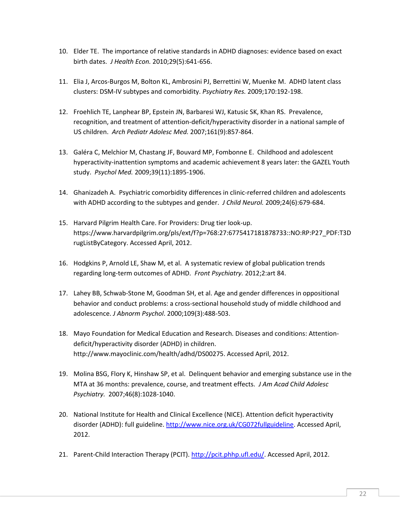- 10. Elder TE. The importance of relative standards in ADHD diagnoses: evidence based on exact birth dates. *J Health Econ.* 2010;29(5):641-656.
- 11. Elia J, Arcos-Burgos M, Bolton KL, Ambrosini PJ, Berrettini W, Muenke M. ADHD latent class clusters: DSM-IV subtypes and comorbidity. *Psychiatry Res.* 2009;170:192-198.
- 12. Froehlich TE, Lanphear BP, Epstein JN, Barbaresi WJ, Katusic SK, Khan RS. Prevalence, recognition, and treatment of attention-deficit/hyperactivity disorder in a national sample of US children. *Arch Pediatr Adolesc Med.* 2007;161(9):857-864.
- 13. Galéra C, Melchior M, Chastang JF, Bouvard MP, Fombonne E. Childhood and adolescent hyperactivity-inattention symptoms and academic achievement 8 years later: the GAZEL Youth study. *Psychol Med.* 2009;39(11):1895-1906.
- 14. Ghanizadeh A. Psychiatric comorbidity differences in clinic-referred children and adolescents with ADHD according to the subtypes and gender. *J Child Neurol.* 2009;24(6):679-684.
- 15. Harvard Pilgrim Health Care. For Providers: Drug tier look-up. [https://www.harvardpilgrim.org/pls/ext/f?p=768:27:6775417181878733::NO:RP:P27\\_PDF:T3D](https://www.harvardpilgrim.org/pls/ext/f?p=768:27:6775417181878733::NO:RP:P27_PDF:T3DrugListByCategory) [rugListByCategory.](https://www.harvardpilgrim.org/pls/ext/f?p=768:27:6775417181878733::NO:RP:P27_PDF:T3DrugListByCategory) Accessed April, 2012.
- 16. Hodgkins P, Arnold LE, Shaw M, et al. A systematic review of global publication trends regarding long-term outcomes of ADHD. *Front Psychiatry.* 2012;2:art 84.
- 17. Lahey BB, Schwab-Stone M, Goodman SH, et al. Age and gender differences in oppositional behavior and conduct problems: a cross-sectional household study of middle childhood and adolescence. *J Abnorm Psychol*. 2000;109(3):488-503.
- 18. Mayo Foundation for Medical Education and Research. Diseases and conditions: Attentiondeficit/hyperactivity disorder (ADHD) in children. http://www.mayoclinic.com/health/adhd/DS00275. Accessed April, 2012.
- 19. Molina BSG, Flory K, Hinshaw SP, et al. Delinquent behavior and emerging substance use in the MTA at 36 months: prevalence, course, and treatment effects. *J Am Acad Child Adolesc Psychiatry.* 2007;46(8):1028-1040.
- 20. National Institute for Health and Clinical Excellence (NICE). Attention deficit hyperactivity disorder (ADHD): full guideline. [http://www.nice.org.uk/CG072fullguideline.](http://www.nice.org.uk/CG072fullguideline) Accessed April, 2012.
- 21. Parent-Child Interaction Therapy (PCIT). [http://pcit.phhp.ufl.edu/.](http://pcit.phhp.ufl.edu/) Accessed April, 2012.